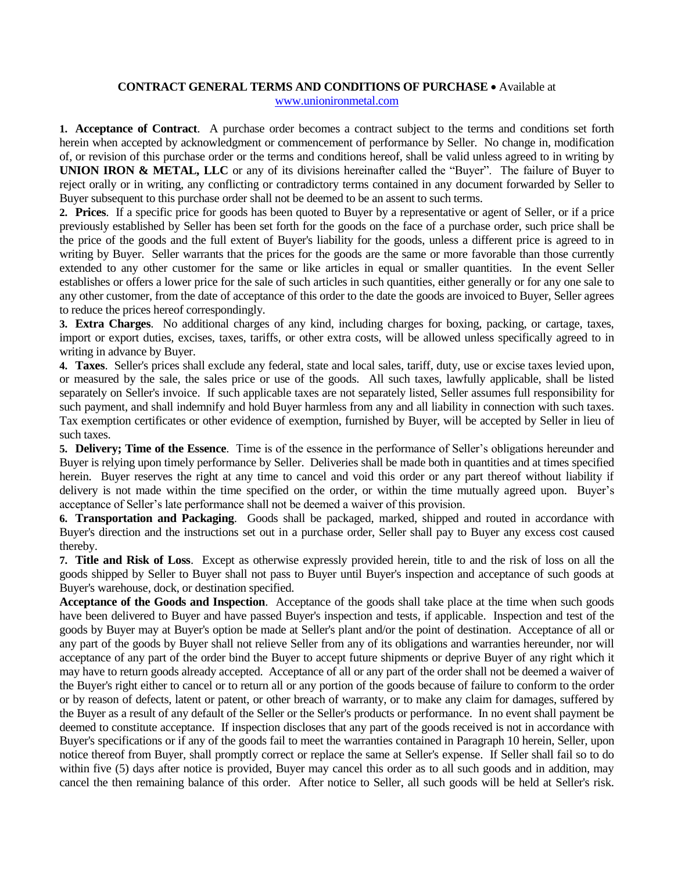## **CONTRACT GENERAL TERMS AND CONDITIONS OF PURCHASE** Available at [www.unionironmetal.com](http://www.unionironmetal.com/)

**1. Acceptance of Contract**. A purchase order becomes a contract subject to the terms and conditions set forth herein when accepted by acknowledgment or commencement of performance by Seller. No change in, modification of, or revision of this purchase order or the terms and conditions hereof, shall be valid unless agreed to in writing by **UNION IRON & METAL, LLC** or any of its divisions hereinafter called the "Buyer". The failure of Buyer to reject orally or in writing, any conflicting or contradictory terms contained in any document forwarded by Seller to Buyer subsequent to this purchase order shall not be deemed to be an assent to such terms.

**2. Prices**. If a specific price for goods has been quoted to Buyer by a representative or agent of Seller, or if a price previously established by Seller has been set forth for the goods on the face of a purchase order, such price shall be the price of the goods and the full extent of Buyer's liability for the goods, unless a different price is agreed to in writing by Buyer. Seller warrants that the prices for the goods are the same or more favorable than those currently extended to any other customer for the same or like articles in equal or smaller quantities. In the event Seller establishes or offers a lower price for the sale of such articles in such quantities, either generally or for any one sale to any other customer, from the date of acceptance of this order to the date the goods are invoiced to Buyer, Seller agrees to reduce the prices hereof correspondingly.

**3. Extra Charges**. No additional charges of any kind, including charges for boxing, packing, or cartage, taxes, import or export duties, excises, taxes, tariffs, or other extra costs, will be allowed unless specifically agreed to in writing in advance by Buyer.

**4. Taxes**. Seller's prices shall exclude any federal, state and local sales, tariff, duty, use or excise taxes levied upon, or measured by the sale, the sales price or use of the goods. All such taxes, lawfully applicable, shall be listed separately on Seller's invoice. If such applicable taxes are not separately listed, Seller assumes full responsibility for such payment, and shall indemnify and hold Buyer harmless from any and all liability in connection with such taxes. Tax exemption certificates or other evidence of exemption, furnished by Buyer, will be accepted by Seller in lieu of such taxes.

**5. Delivery; Time of the Essence**. Time is of the essence in the performance of Seller's obligations hereunder and Buyer is relying upon timely performance by Seller. Deliveries shall be made both in quantities and at times specified herein. Buyer reserves the right at any time to cancel and void this order or any part thereof without liability if delivery is not made within the time specified on the order, or within the time mutually agreed upon. Buyer's acceptance of Seller's late performance shall not be deemed a waiver of this provision.

**6. Transportation and Packaging**. Goods shall be packaged, marked, shipped and routed in accordance with Buyer's direction and the instructions set out in a purchase order, Seller shall pay to Buyer any excess cost caused thereby.

**7. Title and Risk of Loss**. Except as otherwise expressly provided herein, title to and the risk of loss on all the goods shipped by Seller to Buyer shall not pass to Buyer until Buyer's inspection and acceptance of such goods at Buyer's warehouse, dock, or destination specified.

**Acceptance of the Goods and Inspection**. Acceptance of the goods shall take place at the time when such goods have been delivered to Buyer and have passed Buyer's inspection and tests, if applicable. Inspection and test of the goods by Buyer may at Buyer's option be made at Seller's plant and/or the point of destination. Acceptance of all or any part of the goods by Buyer shall not relieve Seller from any of its obligations and warranties hereunder, nor will acceptance of any part of the order bind the Buyer to accept future shipments or deprive Buyer of any right which it may have to return goods already accepted. Acceptance of all or any part of the order shall not be deemed a waiver of the Buyer's right either to cancel or to return all or any portion of the goods because of failure to conform to the order or by reason of defects, latent or patent, or other breach of warranty, or to make any claim for damages, suffered by the Buyer as a result of any default of the Seller or the Seller's products or performance. In no event shall payment be deemed to constitute acceptance. If inspection discloses that any part of the goods received is not in accordance with Buyer's specifications or if any of the goods fail to meet the warranties contained in Paragraph 10 herein, Seller, upon notice thereof from Buyer, shall promptly correct or replace the same at Seller's expense. If Seller shall fail so to do within five (5) days after notice is provided, Buyer may cancel this order as to all such goods and in addition, may cancel the then remaining balance of this order. After notice to Seller, all such goods will be held at Seller's risk.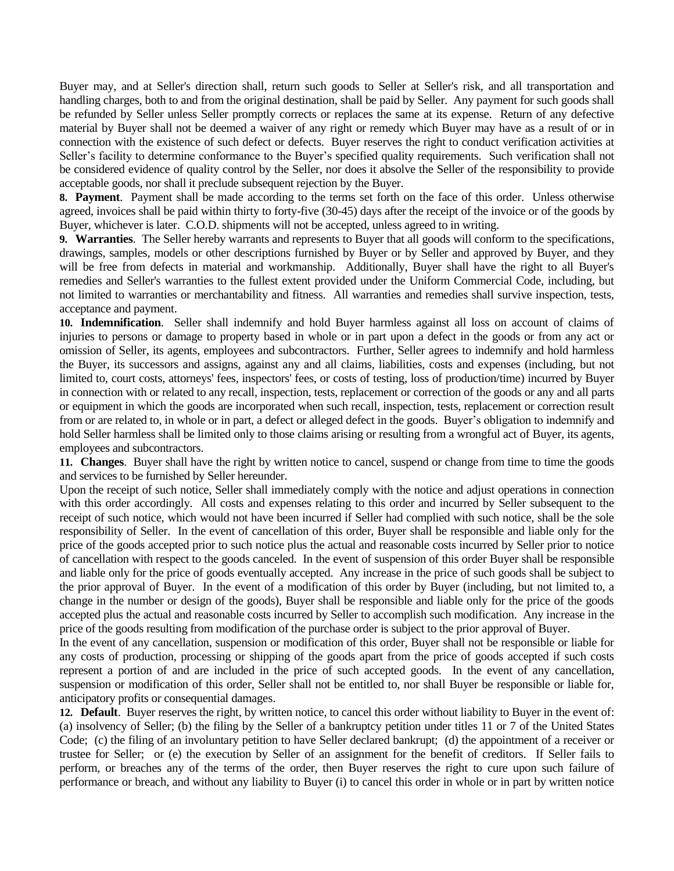Buyer may, and at Seller's direction shall, return such goods to Seller at Seller's risk, and all transportation and handling charges, both to and from the original destination, shall be paid by Seller. Any payment for such goods shall be refunded by Seller unless Seller promptly corrects or replaces the same at its expense. Return of any defective material by Buyer shall not be deemed a waiver of any right or remedy which Buyer may have as a result of or in connection with the existence of such defect or defects. Buyer reserves the right to conduct verification activities at Seller's facility to determine conformance to the Buyer's specified quality requirements. Such verification shall not be considered evidence of quality control by the Seller, nor does it absolve the Seller of the responsibility to provide acceptable goods, nor shall it preclude subsequent rejection by the Buyer.

**8. Payment**. Payment shall be made according to the terms set forth on the face of this order. Unless otherwise agreed, invoices shall be paid within thirty to forty-five (30-45) days after the receipt of the invoice or of the goods by Buyer, whichever is later. C.O.D. shipments will not be accepted, unless agreed to in writing.

**9. Warranties**. The Seller hereby warrants and represents to Buyer that all goods will conform to the specifications, drawings, samples, models or other descriptions furnished by Buyer or by Seller and approved by Buyer, and they will be free from defects in material and workmanship. Additionally, Buyer shall have the right to all Buyer's remedies and Seller's warranties to the fullest extent provided under the Uniform Commercial Code, including, but not limited to warranties or merchantability and fitness. All warranties and remedies shall survive inspection, tests, acceptance and payment.

**10. Indemnification**. Seller shall indemnify and hold Buyer harmless against all loss on account of claims of injuries to persons or damage to property based in whole or in part upon a defect in the goods or from any act or omission of Seller, its agents, employees and subcontractors. Further, Seller agrees to indemnify and hold harmless the Buyer, its successors and assigns, against any and all claims, liabilities, costs and expenses (including, but not limited to, court costs, attorneys' fees, inspectors' fees, or costs of testing, loss of production/time) incurred by Buyer in connection with or related to any recall, inspection, tests, replacement or correction of the goods or any and all parts or equipment in which the goods are incorporated when such recall, inspection, tests, replacement or correction result from or are related to, in whole or in part, a defect or alleged defect in the goods. Buyer's obligation to indemnify and hold Seller harmless shall be limited only to those claims arising or resulting from a wrongful act of Buyer, its agents, employees and subcontractors.

**11. Changes**. Buyer shall have the right by written notice to cancel, suspend or change from time to time the goods and services to be furnished by Seller hereunder.

Upon the receipt of such notice, Seller shall immediately comply with the notice and adjust operations in connection with this order accordingly. All costs and expenses relating to this order and incurred by Seller subsequent to the receipt of such notice, which would not have been incurred if Seller had complied with such notice, shall be the sole responsibility of Seller. In the event of cancellation of this order, Buyer shall be responsible and liable only for the price of the goods accepted prior to such notice plus the actual and reasonable costs incurred by Seller prior to notice of cancellation with respect to the goods canceled. In the event of suspension of this order Buyer shall be responsible and liable only for the price of goods eventually accepted. Any increase in the price of such goods shall be subject to the prior approval of Buyer. In the event of a modification of this order by Buyer (including, but not limited to, a change in the number or design of the goods), Buyer shall be responsible and liable only for the price of the goods accepted plus the actual and reasonable costs incurred by Seller to accomplish such modification. Any increase in the price of the goods resulting from modification of the purchase order is subject to the prior approval of Buyer.

In the event of any cancellation, suspension or modification of this order, Buyer shall not be responsible or liable for any costs of production, processing or shipping of the goods apart from the price of goods accepted if such costs represent a portion of and are included in the price of such accepted goods. In the event of any cancellation, suspension or modification of this order, Seller shall not be entitled to, nor shall Buyer be responsible or liable for, anticipatory profits or consequential damages.

**12. Default**. Buyer reserves the right, by written notice, to cancel this order without liability to Buyer in the event of: (a) insolvency of Seller; (b) the filing by the Seller of a bankruptcy petition under titles 11 or 7 of the United States Code; (c) the filing of an involuntary petition to have Seller declared bankrupt; (d) the appointment of a receiver or trustee for Seller; or (e) the execution by Seller of an assignment for the benefit of creditors. If Seller fails to perform, or breaches any of the terms of the order, then Buyer reserves the right to cure upon such failure of performance or breach, and without any liability to Buyer (i) to cancel this order in whole or in part by written notice